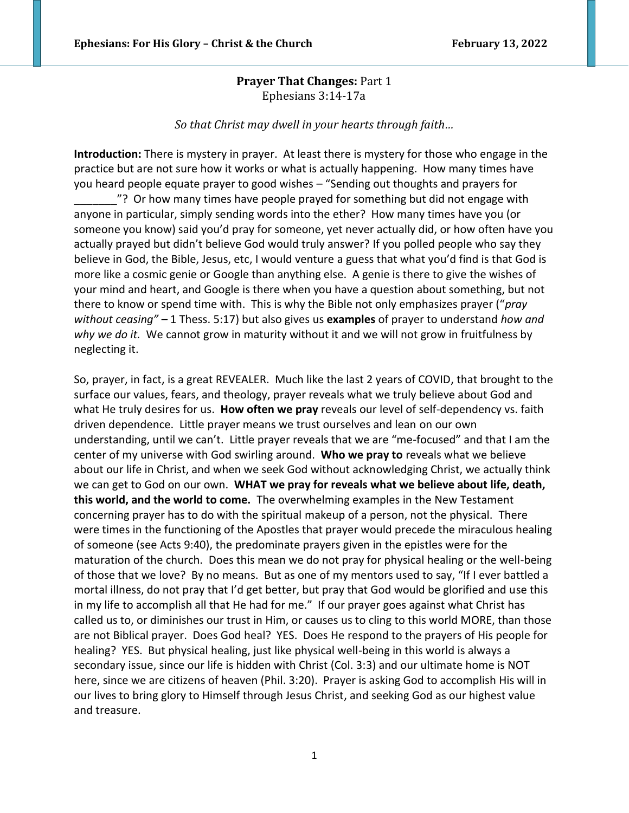# **Prayer That Changes:** Part 1 Ephesians 3:14-17a

### *So that Christ may dwell in your hearts through faith…*

**Introduction:** There is mystery in prayer. At least there is mystery for those who engage in the practice but are not sure how it works or what is actually happening. How many times have you heard people equate prayer to good wishes – "Sending out thoughts and prayers for

\_\_\_\_\_\_\_"? Or how many times have people prayed for something but did not engage with anyone in particular, simply sending words into the ether? How many times have you (or someone you know) said you'd pray for someone, yet never actually did, or how often have you actually prayed but didn't believe God would truly answer? If you polled people who say they believe in God, the Bible, Jesus, etc, I would venture a guess that what you'd find is that God is more like a cosmic genie or Google than anything else. A genie is there to give the wishes of your mind and heart, and Google is there when you have a question about something, but not there to know or spend time with. This is why the Bible not only emphasizes prayer ("*pray without ceasing" –* 1 Thess. 5:17) but also gives us **examples** of prayer to understand *how and why we do it.* We cannot grow in maturity without it and we will not grow in fruitfulness by neglecting it.

So, prayer, in fact, is a great REVEALER. Much like the last 2 years of COVID, that brought to the surface our values, fears, and theology, prayer reveals what we truly believe about God and what He truly desires for us. **How often we pray** reveals our level of self-dependency vs. faith driven dependence. Little prayer means we trust ourselves and lean on our own understanding, until we can't. Little prayer reveals that we are "me-focused" and that I am the center of my universe with God swirling around. **Who we pray to** reveals what we believe about our life in Christ, and when we seek God without acknowledging Christ, we actually think we can get to God on our own. **WHAT we pray for reveals what we believe about life, death, this world, and the world to come.** The overwhelming examples in the New Testament concerning prayer has to do with the spiritual makeup of a person, not the physical. There were times in the functioning of the Apostles that prayer would precede the miraculous healing of someone (see Acts 9:40), the predominate prayers given in the epistles were for the maturation of the church. Does this mean we do not pray for physical healing or the well-being of those that we love? By no means. But as one of my mentors used to say, "If I ever battled a mortal illness, do not pray that I'd get better, but pray that God would be glorified and use this in my life to accomplish all that He had for me." If our prayer goes against what Christ has called us to, or diminishes our trust in Him, or causes us to cling to this world MORE, than those are not Biblical prayer. Does God heal? YES. Does He respond to the prayers of His people for healing? YES. But physical healing, just like physical well-being in this world is always a secondary issue, since our life is hidden with Christ (Col. 3:3) and our ultimate home is NOT here, since we are citizens of heaven (Phil. 3:20). Prayer is asking God to accomplish His will in our lives to bring glory to Himself through Jesus Christ, and seeking God as our highest value and treasure.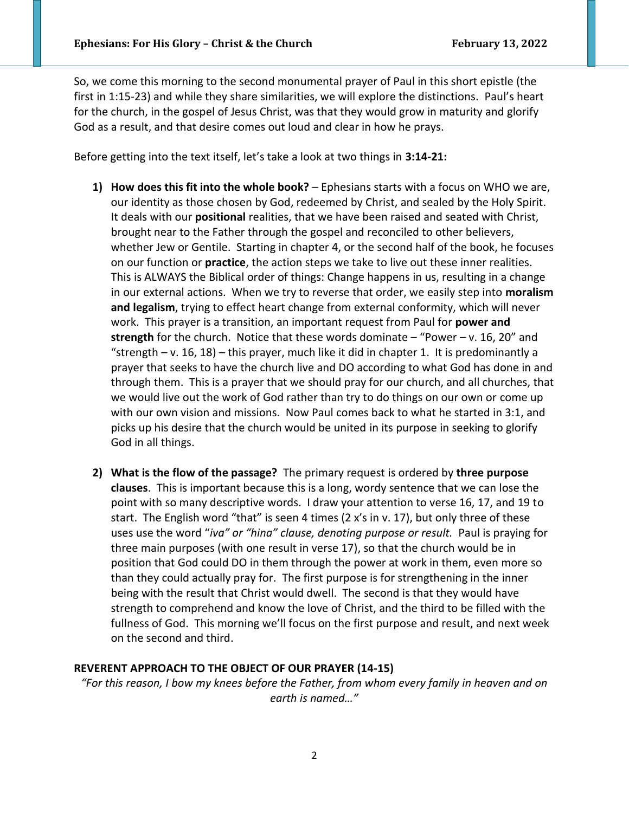So, we come this morning to the second monumental prayer of Paul in this short epistle (the first in 1:15-23) and while they share similarities, we will explore the distinctions. Paul's heart for the church, in the gospel of Jesus Christ, was that they would grow in maturity and glorify God as a result, and that desire comes out loud and clear in how he prays.

Before getting into the text itself, let's take a look at two things in **3:14-21:**

- **1) How does this fit into the whole book?** Ephesians starts with a focus on WHO we are, our identity as those chosen by God, redeemed by Christ, and sealed by the Holy Spirit. It deals with our **positional** realities, that we have been raised and seated with Christ, brought near to the Father through the gospel and reconciled to other believers, whether Jew or Gentile. Starting in chapter 4, or the second half of the book, he focuses on our function or **practice**, the action steps we take to live out these inner realities. This is ALWAYS the Biblical order of things: Change happens in us, resulting in a change in our external actions. When we try to reverse that order, we easily step into **moralism and legalism**, trying to effect heart change from external conformity, which will never work. This prayer is a transition, an important request from Paul for **power and strength** for the church. Notice that these words dominate – "Power – v. 16, 20" and "strength – v. 16, 18) – this prayer, much like it did in chapter 1. It is predominantly a prayer that seeks to have the church live and DO according to what God has done in and through them. This is a prayer that we should pray for our church, and all churches, that we would live out the work of God rather than try to do things on our own or come up with our own vision and missions. Now Paul comes back to what he started in 3:1, and picks up his desire that the church would be united in its purpose in seeking to glorify God in all things.
- **2) What is the flow of the passage?** The primary request is ordered by **three purpose clauses**. This is important because this is a long, wordy sentence that we can lose the point with so many descriptive words. I draw your attention to verse 16, 17, and 19 to start. The English word "that" is seen 4 times (2 x's in v. 17), but only three of these uses use the word "*iva" or "hina" clause, denoting purpose or result.* Paul is praying for three main purposes (with one result in verse 17), so that the church would be in position that God could DO in them through the power at work in them, even more so than they could actually pray for. The first purpose is for strengthening in the inner being with the result that Christ would dwell. The second is that they would have strength to comprehend and know the love of Christ, and the third to be filled with the fullness of God. This morning we'll focus on the first purpose and result, and next week on the second and third.

## **REVERENT APPROACH TO THE OBJECT OF OUR PRAYER (14-15)**

*"For this reason, I bow my knees before the Father, from whom every family in heaven and on earth is named…"*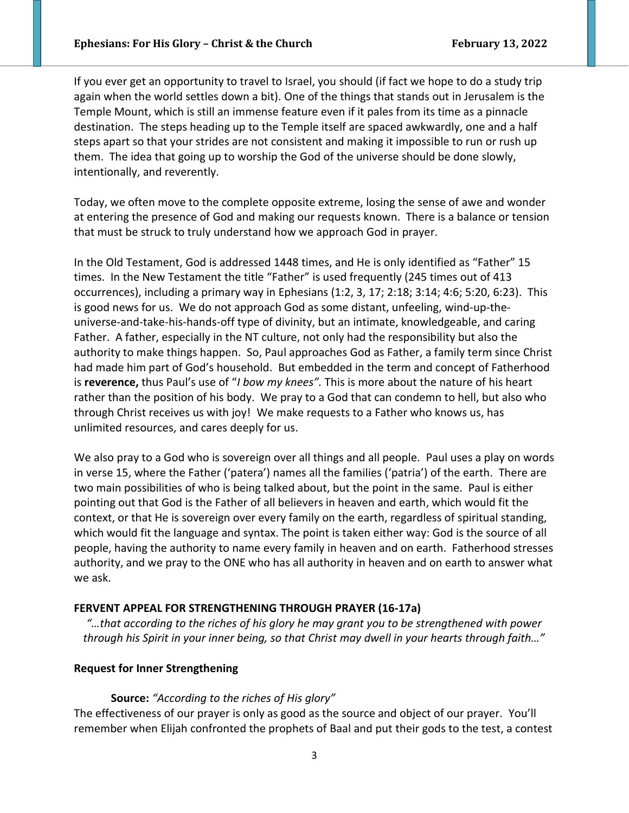If you ever get an opportunity to travel to Israel, you should (if fact we hope to do a study trip again when the world settles down a bit). One of the things that stands out in Jerusalem is the Temple Mount, which is still an immense feature even if it pales from its time as a pinnacle destination. The steps heading up to the Temple itself are spaced awkwardly, one and a half steps apart so that your strides are not consistent and making it impossible to run or rush up them. The idea that going up to worship the God of the universe should be done slowly, intentionally, and reverently.

Today, we often move to the complete opposite extreme, losing the sense of awe and wonder at entering the presence of God and making our requests known. There is a balance or tension that must be struck to truly understand how we approach God in prayer.

In the Old Testament, God is addressed 1448 times, and He is only identified as "Father" 15 times. In the New Testament the title "Father" is used frequently (245 times out of 413 occurrences), including a primary way in Ephesians (1:2, 3, 17; 2:18; 3:14; 4:6; 5:20, 6:23). This is good news for us. We do not approach God as some distant, unfeeling, wind-up-theuniverse-and-take-his-hands-off type of divinity, but an intimate, knowledgeable, and caring Father. A father, especially in the NT culture, not only had the responsibility but also the authority to make things happen. So, Paul approaches God as Father, a family term since Christ had made him part of God's household. But embedded in the term and concept of Fatherhood is **reverence,** thus Paul's use of "*I bow my knees".* This is more about the nature of his heart rather than the position of his body. We pray to a God that can condemn to hell, but also who through Christ receives us with joy! We make requests to a Father who knows us, has unlimited resources, and cares deeply for us.

We also pray to a God who is sovereign over all things and all people. Paul uses a play on words in verse 15, where the Father ('patera') names all the families ('patria') of the earth. There are two main possibilities of who is being talked about, but the point in the same. Paul is either pointing out that God is the Father of all believers in heaven and earth, which would fit the context, or that He is sovereign over every family on the earth, regardless of spiritual standing, which would fit the language and syntax. The point is taken either way: God is the source of all people, having the authority to name every family in heaven and on earth. Fatherhood stresses authority, and we pray to the ONE who has all authority in heaven and on earth to answer what we ask.

#### **FERVENT APPEAL FOR STRENGTHENING THROUGH PRAYER (16-17a)**

*"…that according to the riches of his glory he may grant you to be strengthened with power through his Spirit in your inner being, so that Christ may dwell in your hearts through faith…"*

### **Request for Inner Strengthening**

#### **Source:** *"According to the riches of His glory"*

The effectiveness of our prayer is only as good as the source and object of our prayer. You'll remember when Elijah confronted the prophets of Baal and put their gods to the test, a contest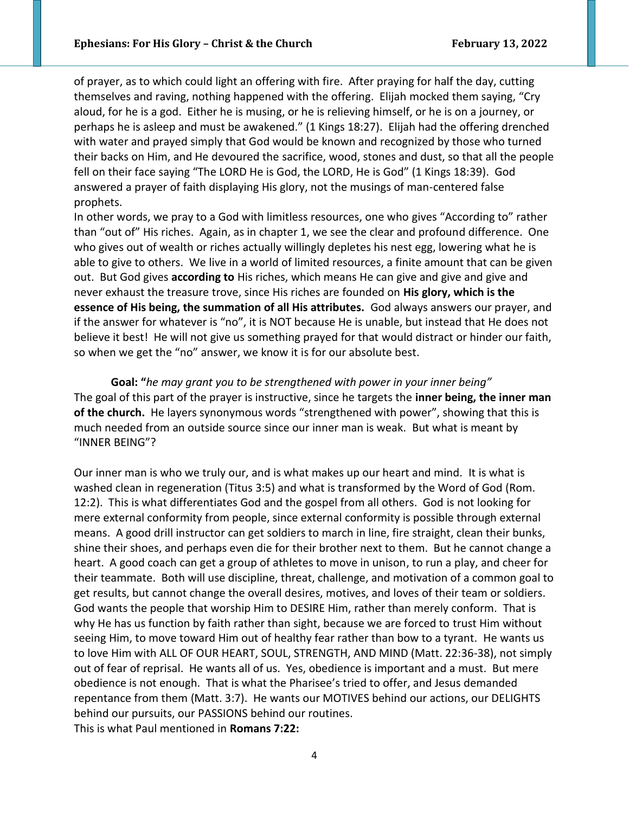of prayer, as to which could light an offering with fire. After praying for half the day, cutting themselves and raving, nothing happened with the offering. Elijah mocked them saying, "Cry aloud, for he is a god. Either he is musing, or he is relieving himself, or he is on a journey, or perhaps he is asleep and must be awakened." (1 Kings 18:27). Elijah had the offering drenched with water and prayed simply that God would be known and recognized by those who turned their backs on Him, and He devoured the sacrifice, wood, stones and dust, so that all the people fell on their face saying "The LORD He is God, the LORD, He is God" (1 Kings 18:39). God answered a prayer of faith displaying His glory, not the musings of man-centered false prophets.

In other words, we pray to a God with limitless resources, one who gives "According to" rather than "out of" His riches. Again, as in chapter 1, we see the clear and profound difference. One who gives out of wealth or riches actually willingly depletes his nest egg, lowering what he is able to give to others. We live in a world of limited resources, a finite amount that can be given out. But God gives **according to** His riches, which means He can give and give and give and never exhaust the treasure trove, since His riches are founded on **His glory, which is the essence of His being, the summation of all His attributes.** God always answers our prayer, and if the answer for whatever is "no", it is NOT because He is unable, but instead that He does not believe it best! He will not give us something prayed for that would distract or hinder our faith, so when we get the "no" answer, we know it is for our absolute best.

**Goal: "***he may grant you to be strengthened with power in your inner being"* The goal of this part of the prayer is instructive, since he targets the **inner being, the inner man of the church.** He layers synonymous words "strengthened with power", showing that this is much needed from an outside source since our inner man is weak. But what is meant by "INNER BEING"?

Our inner man is who we truly our, and is what makes up our heart and mind. It is what is washed clean in regeneration (Titus 3:5) and what is transformed by the Word of God (Rom. 12:2). This is what differentiates God and the gospel from all others. God is not looking for mere external conformity from people, since external conformity is possible through external means. A good drill instructor can get soldiers to march in line, fire straight, clean their bunks, shine their shoes, and perhaps even die for their brother next to them. But he cannot change a heart. A good coach can get a group of athletes to move in unison, to run a play, and cheer for their teammate. Both will use discipline, threat, challenge, and motivation of a common goal to get results, but cannot change the overall desires, motives, and loves of their team or soldiers. God wants the people that worship Him to DESIRE Him, rather than merely conform. That is why He has us function by faith rather than sight, because we are forced to trust Him without seeing Him, to move toward Him out of healthy fear rather than bow to a tyrant. He wants us to love Him with ALL OF OUR HEART, SOUL, STRENGTH, AND MIND (Matt. 22:36-38), not simply out of fear of reprisal. He wants all of us. Yes, obedience is important and a must. But mere obedience is not enough. That is what the Pharisee's tried to offer, and Jesus demanded repentance from them (Matt. 3:7). He wants our MOTIVES behind our actions, our DELIGHTS behind our pursuits, our PASSIONS behind our routines. This is what Paul mentioned in **Romans 7:22:**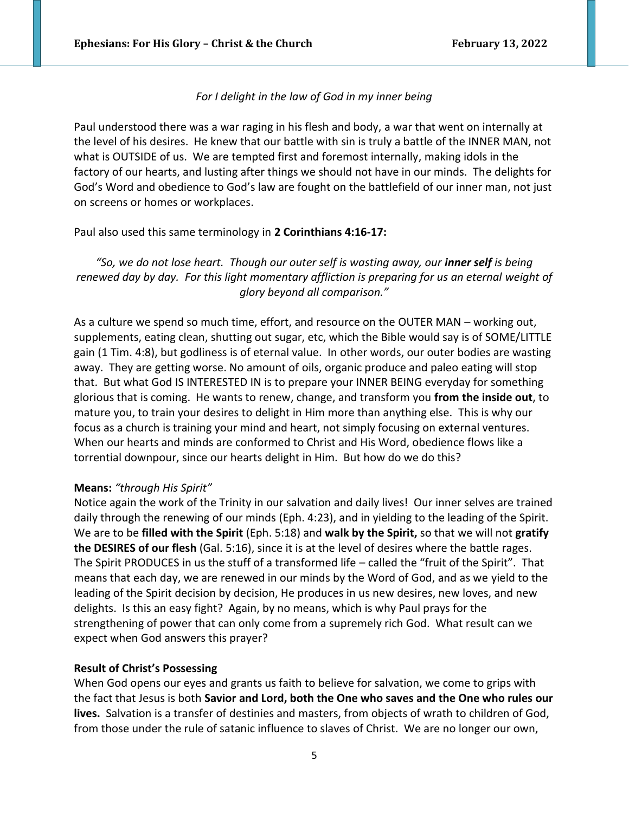## *For I delight in the law of God in my inner being*

Paul understood there was a war raging in his flesh and body, a war that went on internally at the level of his desires. He knew that our battle with sin is truly a battle of the INNER MAN, not what is OUTSIDE of us. We are tempted first and foremost internally, making idols in the factory of our hearts, and lusting after things we should not have in our minds. The delights for God's Word and obedience to God's law are fought on the battlefield of our inner man, not just on screens or homes or workplaces.

## Paul also used this same terminology in **2 Corinthians 4:16-17:**

"So, we do not lose heart. Though our outer self is wasting away, our *inner self* is being *renewed day by day. For this light momentary affliction is preparing for us an eternal weight of glory beyond all comparison."*

As a culture we spend so much time, effort, and resource on the OUTER MAN – working out, supplements, eating clean, shutting out sugar, etc, which the Bible would say is of SOME/LITTLE gain (1 Tim. 4:8), but godliness is of eternal value. In other words, our outer bodies are wasting away. They are getting worse. No amount of oils, organic produce and paleo eating will stop that. But what God IS INTERESTED IN is to prepare your INNER BEING everyday for something glorious that is coming. He wants to renew, change, and transform you **from the inside out**, to mature you, to train your desires to delight in Him more than anything else. This is why our focus as a church is training your mind and heart, not simply focusing on external ventures. When our hearts and minds are conformed to Christ and His Word, obedience flows like a torrential downpour, since our hearts delight in Him. But how do we do this?

## **Means:** *"through His Spirit"*

Notice again the work of the Trinity in our salvation and daily lives! Our inner selves are trained daily through the renewing of our minds (Eph. 4:23), and in yielding to the leading of the Spirit. We are to be **filled with the Spirit** (Eph. 5:18) and **walk by the Spirit,** so that we will not **gratify the DESIRES of our flesh** (Gal. 5:16), since it is at the level of desires where the battle rages. The Spirit PRODUCES in us the stuff of a transformed life – called the "fruit of the Spirit". That means that each day, we are renewed in our minds by the Word of God, and as we yield to the leading of the Spirit decision by decision, He produces in us new desires, new loves, and new delights. Is this an easy fight? Again, by no means, which is why Paul prays for the strengthening of power that can only come from a supremely rich God. What result can we expect when God answers this prayer?

## **Result of Christ's Possessing**

When God opens our eyes and grants us faith to believe for salvation, we come to grips with the fact that Jesus is both **Savior and Lord, both the One who saves and the One who rules our lives.** Salvation is a transfer of destinies and masters, from objects of wrath to children of God, from those under the rule of satanic influence to slaves of Christ. We are no longer our own,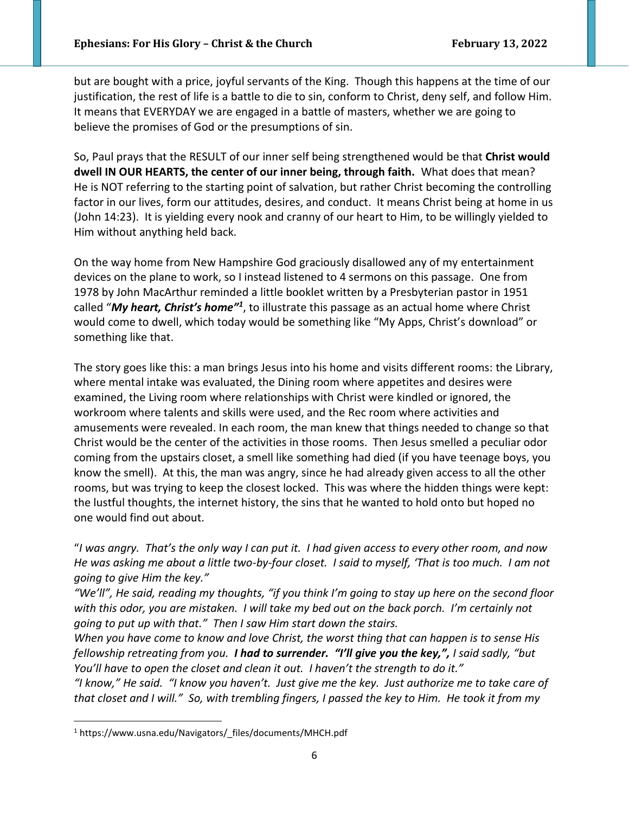but are bought with a price, joyful servants of the King. Though this happens at the time of our justification, the rest of life is a battle to die to sin, conform to Christ, deny self, and follow Him. It means that EVERYDAY we are engaged in a battle of masters, whether we are going to believe the promises of God or the presumptions of sin.

So, Paul prays that the RESULT of our inner self being strengthened would be that **Christ would dwell IN OUR HEARTS, the center of our inner being, through faith.** What does that mean? He is NOT referring to the starting point of salvation, but rather Christ becoming the controlling factor in our lives, form our attitudes, desires, and conduct. It means Christ being at home in us (John 14:23). It is yielding every nook and cranny of our heart to Him, to be willingly yielded to Him without anything held back.

On the way home from New Hampshire God graciously disallowed any of my entertainment devices on the plane to work, so I instead listened to 4 sermons on this passage. One from 1978 by John MacArthur reminded a little booklet written by a Presbyterian pastor in 1951 called "*My heart, Christ's home"<sup>1</sup>* , to illustrate this passage as an actual home where Christ would come to dwell, which today would be something like "My Apps, Christ's download" or something like that.

The story goes like this: a man brings Jesus into his home and visits different rooms: the Library, where mental intake was evaluated, the Dining room where appetites and desires were examined, the Living room where relationships with Christ were kindled or ignored, the workroom where talents and skills were used, and the Rec room where activities and amusements were revealed. In each room, the man knew that things needed to change so that Christ would be the center of the activities in those rooms. Then Jesus smelled a peculiar odor coming from the upstairs closet, a smell like something had died (if you have teenage boys, you know the smell). At this, the man was angry, since he had already given access to all the other rooms, but was trying to keep the closest locked. This was where the hidden things were kept: the lustful thoughts, the internet history, the sins that he wanted to hold onto but hoped no one would find out about.

"*I was angry. That's the only way I can put it. I had given access to every other room, and now He was asking me about a little two-by-four closet. I said to myself, 'That is too much. I am not going to give Him the key."*

*"We'll", He said, reading my thoughts, "if you think I'm going to stay up here on the second floor with this odor, you are mistaken. I will take my bed out on the back porch. I'm certainly not going to put up with that." Then I saw Him start down the stairs.*

*When you have come to know and love Christ, the worst thing that can happen is to sense His fellowship retreating from you. I had to surrender. "I'll give you the key,", I said sadly, "but You'll have to open the closet and clean it out. I haven't the strength to do it."*

*"I know," He said. "I know you haven't. Just give me the key. Just authorize me to take care of that closet and I will." So, with trembling fingers, I passed the key to Him. He took it from my* 

<sup>1</sup> https://www.usna.edu/Navigators/\_files/documents/MHCH.pdf